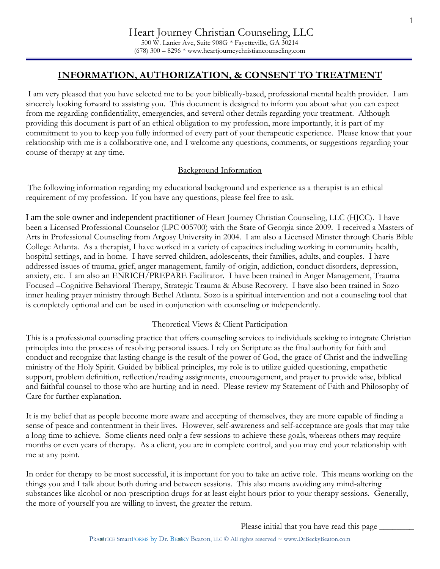1

# **INFORMATION, AUTHORIZATION, & CONSENT TO TREATMENT**

I am very pleased that you have selected me to be your biblically-based, professional mental health provider. I am sincerely looking forward to assisting you. This document is designed to inform you about what you can expect from me regarding confidentiality, emergencies, and several other details regarding your treatment. Although providing this document is part of an ethical obligation to my profession, more importantly, it is part of my commitment to you to keep you fully informed of every part of your therapeutic experience. Please know that your relationship with me is a collaborative one, and I welcome any questions, comments, or suggestions regarding your course of therapy at any time.

### Background Information

The following information regarding my educational background and experience as a therapist is an ethical requirement of my profession. If you have any questions, please feel free to ask.

I am the sole owner and independent practitioner of Heart Journey Christian Counseling, LLC (HJCC). I have been a Licensed Professional Counselor (LPC 005700) with the State of Georgia since 2009. I received a Masters of Arts in Professional Counseling from Argosy University in 2004. I am also a Licensed Minster through Charis Bible College Atlanta. As a therapist, I have worked in a variety of capacities including working in community health, hospital settings, and in-home. I have served children, adolescents, their families, adults, and couples. I have addressed issues of trauma, grief, anger management, family-of-origin, addiction, conduct disorders, depression, anxiety, etc. I am also an ENRICH/PREPARE Facilitator. I have been trained in Anger Management, Trauma Focused –Cognitive Behavioral Therapy, Strategic Trauma & Abuse Recovery. I have also been trained in Sozo inner healing prayer ministry through Bethel Atlanta. Sozo is a spiritual intervention and not a counseling tool that is completely optional and can be used in conjunction with counseling or independently.

### Theoretical Views & Client Participation

This is a professional counseling practice that offers counseling services to individuals seeking to integrate Christian principles into the process of resolving personal issues. I rely on Scripture as the final authority for faith and conduct and recognize that lasting change is the result of the power of God, the grace of Christ and the indwelling ministry of the Holy Spirit. Guided by biblical principles, my role is to utilize guided questioning, empathetic support, problem definition, reflection/reading assignments, encouragement, and prayer to provide wise, biblical and faithful counsel to those who are hurting and in need. Please review my Statement of Faith and Philosophy of Care for further explanation.

It is my belief that as people become more aware and accepting of themselves, they are more capable of finding a sense of peace and contentment in their lives. However, self-awareness and self-acceptance are goals that may take a long time to achieve. Some clients need only a few sessions to achieve these goals, whereas others may require months or even years of therapy. As a client, you are in complete control, and you may end your relationship with me at any point.

In order for therapy to be most successful, it is important for you to take an active role. This means working on the things you and I talk about both during and between sessions. This also means avoiding any mind-altering substances like alcohol or non-prescription drugs for at least eight hours prior to your therapy sessions. Generally, the more of yourself you are willing to invest, the greater the return.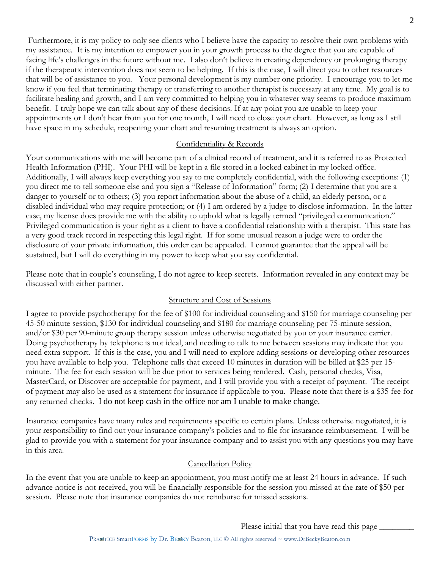Furthermore, it is my policy to only see clients who I believe have the capacity to resolve their own problems with my assistance. It is my intention to empower you in your growth process to the degree that you are capable of facing life's challenges in the future without me. I also don't believe in creating dependency or prolonging therapy if the therapeutic intervention does not seem to be helping. If this is the case, I will direct you to other resources that will be of assistance to you. Your personal development is my number one priority. I encourage you to let me know if you feel that terminating therapy or transferring to another therapist is necessary at any time. My goal is to facilitate healing and growth, and I am very committed to helping you in whatever way seems to produce maximum benefit. I truly hope we can talk about any of these decisions. If at any point you are unable to keep your appointments or I don't hear from you for one month, I will need to close your chart. However, as long as I still have space in my schedule, reopening your chart and resuming treatment is always an option.

#### Confidentiality & Records

Your communications with me will become part of a clinical record of treatment, and it is referred to as Protected Health Information (PHI). Your PHI will be kept in a file stored in a locked cabinet in my locked office. Additionally, I will always keep everything you say to me completely confidential, with the following exceptions: (1) you direct me to tell someone else and you sign a "Release of Information" form; (2) I determine that you are a danger to yourself or to others; (3) you report information about the abuse of a child, an elderly person, or a disabled individual who may require protection; or (4) I am ordered by a judge to disclose information. In the latter case, my license does provide me with the ability to uphold what is legally termed "privileged communication." Privileged communication is your right as a client to have a confidential relationship with a therapist. This state has a very good track record in respecting this legal right. If for some unusual reason a judge were to order the disclosure of your private information, this order can be appealed. I cannot guarantee that the appeal will be sustained, but I will do everything in my power to keep what you say confidential.

Please note that in couple's counseling, I do not agree to keep secrets. Information revealed in any context may be discussed with either partner.

### Structure and Cost of Sessions

I agree to provide psychotherapy for the fee of \$100 for individual counseling and \$150 for marriage counseling per 45-50 minute session, \$130 for individual counseling and \$180 for marriage counseling per 75-minute session, and/or \$30 per 90-minute group therapy session unless otherwise negotiated by you or your insurance carrier. Doing psychotherapy by telephone is not ideal, and needing to talk to me between sessions may indicate that you need extra support. If this is the case, you and I will need to explore adding sessions or developing other resources you have available to help you. Telephone calls that exceed 10 minutes in duration will be billed at \$25 per 15 minute. The fee for each session will be due prior to services being rendered. Cash, personal checks, Visa, MasterCard, or Discover are acceptable for payment, and I will provide you with a receipt of payment. The receipt of payment may also be used as a statement for insurance if applicable to you. Please note that there is a \$35 fee for any returned checks. I do not keep cash in the office nor am I unable to make change.

Insurance companies have many rules and requirements specific to certain plans. Unless otherwise negotiated, it is your responsibility to find out your insurance company's policies and to file for insurance reimbursement. I will be glad to provide you with a statement for your insurance company and to assist you with any questions you may have in this area.

#### Cancellation Policy

In the event that you are unable to keep an appointment, you must notify me at least 24 hours in advance. If such advance notice is not received, you will be financially responsible for the session you missed at the rate of \$50 per session. Please note that insurance companies do not reimburse for missed sessions.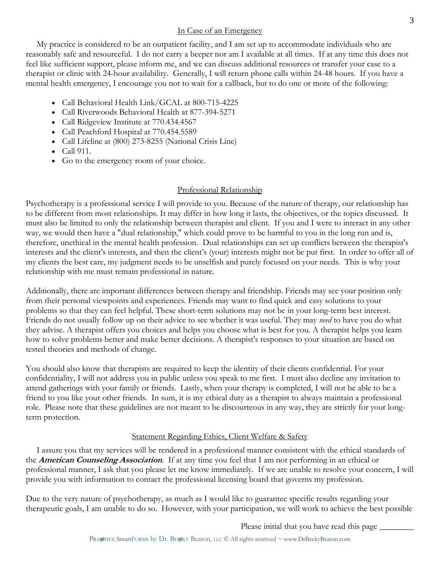### In Case of an Emergency

 My practice is considered to be an outpatient facility, and I am set up to accommodate individuals who are reasonably safe and resourceful. I do not carry a beeper nor am I available at all times. If at any time this does not feel like sufficient support, please inform me, and we can discuss additional resources or transfer your case to a therapist or clinic with 24-hour availability. Generally, I will return phone calls within 24-48 hours. If you have a mental health emergency, I encourage you not to wait for a callback, but to do one or more of the following:

- Call Behavioral Health Link/GCAL at 800-715-4225
- Call Riverwoods Behavioral Health at 877-394-5271
- Call Ridgeview Institute at 770.434.4567
- Call Peachford Hospital at 770.454.5589
- Call Lifeline at (800) 273-8255 (National Crisis Line)
- Call 911.
- Go to the emergency room of your choice.

## Professional Relationship

Psychotherapy is a professional service I will provide to you. Because of the nature of therapy, our relationship has to be different from most relationships. It may differ in how long it lasts, the objectives, or the topics discussed. It must also be limited to only the relationship between therapist and client. If you and I were to interact in any other way, we would then have a "dual relationship," which could prove to be harmful to you in the long run and is, therefore, unethical in the mental health profession. Dual relationships can set up conflicts between the therapist's interests and the client's interests, and then the client's (your) interests might not be put first. In order to offer all of my clients the best care, my judgment needs to be unselfish and purely focused on your needs. This is why your relationship with me must remain professional in nature.

Additionally, there are important differences between therapy and friendship. Friends may see your position only from their personal viewpoints and experiences. Friends may want to find quick and easy solutions to your problems so that they can feel helpful. These short-term solutions may not be in your long-term best interest. Friends do not usually follow up on their advice to see whether it was useful. They may *need* to have you do what they advise. A therapist offers you choices and helps you choose what is best for you. A therapist helps you learn how to solve problems better and make better decisions. A therapist's responses to your situation are based on tested theories and methods of change.

You should also know that therapists are required to keep the identity of their clients confidential. For your confidentiality, I will not address you in public unless you speak to me first. I must also decline any invitation to attend gatherings with your family or friends. Lastly, when your therapy is completed, I will not be able to be a friend to you like your other friends. In sum, it is my ethical duty as a therapist to always maintain a professional role. Please note that these guidelines are not meant to be discourteous in any way, they are strictly for your longterm protection.

## Statement Regarding Ethics, Client Welfare & Safety

 I assure you that my services will be rendered in a professional manner consistent with the ethical standards of the **American Counseling Association**. If at any time you feel that I am not performing in an ethical or professional manner, I ask that you please let me know immediately. If we are unable to resolve your concern, I will provide you with information to contact the professional licensing board that governs my profession.

Due to the very nature of psychotherapy, as much as I would like to guarantee specific results regarding your therapeutic goals, I am unable to do so. However, with your participation, we will work to achieve the best possible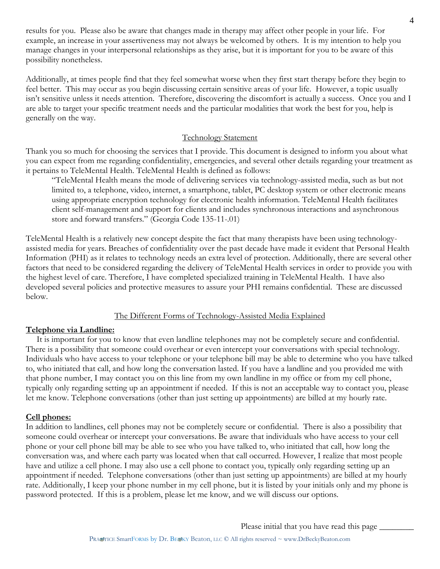results for you. Please also be aware that changes made in therapy may affect other people in your life. For example, an increase in your assertiveness may not always be welcomed by others. It is my intention to help you manage changes in your interpersonal relationships as they arise, but it is important for you to be aware of this possibility nonetheless.

Additionally, at times people find that they feel somewhat worse when they first start therapy before they begin to feel better. This may occur as you begin discussing certain sensitive areas of your life. However, a topic usually isn't sensitive unless it needs attention. Therefore, discovering the discomfort is actually a success. Once you and I are able to target your specific treatment needs and the particular modalities that work the best for you, help is generally on the way.

#### Technology Statement

Thank you so much for choosing the services that I provide. This document is designed to inform you about what you can expect from me regarding confidentiality, emergencies, and several other details regarding your treatment as it pertains to TeleMental Health. TeleMental Health is defined as follows:

"TeleMental Health means the mode of delivering services via technology-assisted media, such as but not limited to, a telephone, video, internet, a smartphone, tablet, PC desktop system or other electronic means using appropriate encryption technology for electronic health information. TeleMental Health facilitates client self-management and support for clients and includes synchronous interactions and asynchronous store and forward transfers." (Georgia Code 135-11-.01)

TeleMental Health is a relatively new concept despite the fact that many therapists have been using technologyassisted media for years. Breaches of confidentiality over the past decade have made it evident that Personal Health Information (PHI) as it relates to technology needs an extra level of protection. Additionally, there are several other factors that need to be considered regarding the delivery of TeleMental Health services in order to provide you with the highest level of care. Therefore, I have completed specialized training in TeleMental Health. I have also developed several policies and protective measures to assure your PHI remains confidential. These are discussed below.

### The Different Forms of Technology-Assisted Media Explained

#### **Telephone via Landline:**

 It is important for you to know that even landline telephones may not be completely secure and confidential. There is a possibility that someone could overhear or even intercept your conversations with special technology. Individuals who have access to your telephone or your telephone bill may be able to determine who you have talked to, who initiated that call, and how long the conversation lasted. If you have a landline and you provided me with that phone number, I may contact you on this line from my own landline in my office or from my cell phone, typically only regarding setting up an appointment if needed. If this is not an acceptable way to contact you, please let me know. Telephone conversations (other than just setting up appointments) are billed at my hourly rate.

### **Cell phones:**

In addition to landlines, cell phones may not be completely secure or confidential. There is also a possibility that someone could overhear or intercept your conversations. Be aware that individuals who have access to your cell phone or your cell phone bill may be able to see who you have talked to, who initiated that call, how long the conversation was, and where each party was located when that call occurred. However, I realize that most people have and utilize a cell phone. I may also use a cell phone to contact you, typically only regarding setting up an appointment if needed. Telephone conversations (other than just setting up appointments) are billed at my hourly rate. Additionally, I keep your phone number in my cell phone, but it is listed by your initials only and my phone is password protected. If this is a problem, please let me know, and we will discuss our options.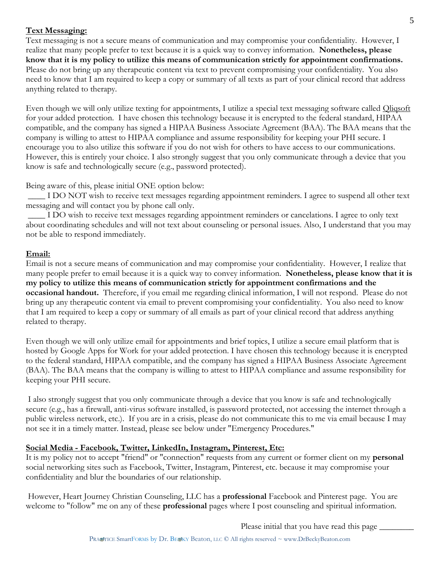### **Text Messaging:**

Text messaging is not a secure means of communication and may compromise your confidentiality. However, I realize that many people prefer to text because it is a quick way to convey information. **Nonetheless, please know that it is my policy to utilize this means of communication strictly for appointment confirmations.** Please do not bring up any therapeutic content via text to prevent compromising your confidentiality. You also need to know that I am required to keep a copy or summary of all texts as part of your clinical record that address anything related to therapy.

Even though we will only utilize texting for appointments, I utilize a special text messaging software called Qliqsoft for your added protection. I have chosen this technology because it is encrypted to the federal standard, HIPAA compatible, and the company has signed a HIPAA Business Associate Agreement (BAA). The BAA means that the company is willing to attest to HIPAA compliance and assume responsibility for keeping your PHI secure. I encourage you to also utilize this software if you do not wish for others to have access to our communications. However, this is entirely your choice. I also strongly suggest that you only communicate through a device that you know is safe and technologically secure (e.g., password protected).

Being aware of this, please initial ONE option below:

\_\_\_\_ I DO NOT wish to receive text messages regarding appointment reminders. I agree to suspend all other text messaging and will contact you by phone call only.

\_\_\_\_ I DO wish to receive text messages regarding appointment reminders or cancelations. I agree to only text about coordinating schedules and will not text about counseling or personal issues. Also, I understand that you may not be able to respond immediately.

### **Email:**

Email is not a secure means of communication and may compromise your confidentiality. However, I realize that many people prefer to email because it is a quick way to convey information. **Nonetheless, please know that it is my policy to utilize this means of communication strictly for appointment confirmations and the occasional handout.** Therefore, if you email me regarding clinical information, I will not respond. Please do not bring up any therapeutic content via email to prevent compromising your confidentiality. You also need to know that I am required to keep a copy or summary of all emails as part of your clinical record that address anything related to therapy.

Even though we will only utilize email for appointments and brief topics, I utilize a secure email platform that is hosted by Google Apps for Work for your added protection. I have chosen this technology because it is encrypted to the federal standard, HIPAA compatible, and the company has signed a HIPAA Business Associate Agreement (BAA). The BAA means that the company is willing to attest to HIPAA compliance and assume responsibility for keeping your PHI secure.

I also strongly suggest that you only communicate through a device that you know is safe and technologically secure (e.g., has a firewall, anti-virus software installed, is password protected, not accessing the internet through a public wireless network, etc.). If you are in a crisis, please do not communicate this to me via email because I may not see it in a timely matter. Instead, please see below under "Emergency Procedures."

### **Social Media - Facebook, Twitter, LinkedIn, Instagram, Pinterest, Etc:**

It is my policy not to accept "friend" or "connection" requests from any current or former client on my **personal** social networking sites such as Facebook, Twitter, Instagram, Pinterest, etc. because it may compromise your confidentiality and blur the boundaries of our relationship.

However, Heart Journey Christian Counseling, LLC has a **professional** Facebook and Pinterest page. You are welcome to "follow" me on any of these **professional** pages where I post counseling and spiritual information.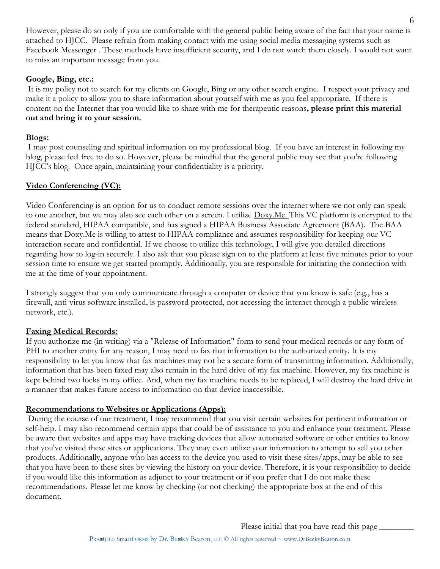However, please do so only if you are comfortable with the general public being aware of the fact that your name is attached to HJCC. Please refrain from making contact with me using social media messaging systems such as Facebook Messenger . These methods have insufficient security, and I do not watch them closely. I would not want to miss an important message from you.

### **Google, Bing, etc.:**

It is my policy not to search for my clients on Google, Bing or any other search engine. I respect your privacy and make it a policy to allow you to share information about yourself with me as you feel appropriate. If there is content on the Internet that you would like to share with me for therapeutic reasons**, please print this material out and bring it to your session.** 

## **Blogs:**

I may post counseling and spiritual information on my professional blog. If you have an interest in following my blog, please feel free to do so. However, please be mindful that the general public may see that you're following HJCC's blog. Once again, maintaining your confidentiality is a priority.

## **Video Conferencing (VC):**

Video Conferencing is an option for us to conduct remote sessions over the internet where we not only can speak to one another, but we may also see each other on a screen. I utilize Doxy.Me. This VC platform is encrypted to the federal standard, HIPAA compatible, and has signed a HIPAA Business Associate Agreement (BAA). The BAA means that Doxy.Me is willing to attest to HIPAA compliance and assumes responsibility for keeping our VC interaction secure and confidential. If we choose to utilize this technology, I will give you detailed directions regarding how to log-in securely. I also ask that you please sign on to the platform at least five minutes prior to your session time to ensure we get started promptly. Additionally, you are responsible for initiating the connection with me at the time of your appointment.

I strongly suggest that you only communicate through a computer or device that you know is safe (e.g., has a firewall, anti-virus software installed, is password protected, not accessing the internet through a public wireless network, etc.).

## **Faxing Medical Records:**

If you authorize me (in writing) via a "Release of Information" form to send your medical records or any form of PHI to another entity for any reason, I may need to fax that information to the authorized entity. It is my responsibility to let you know that fax machines may not be a secure form of transmitting information. Additionally, information that has been faxed may also remain in the hard drive of my fax machine. However, my fax machine is kept behind two locks in my office. And, when my fax machine needs to be replaced, I will destroy the hard drive in a manner that makes future access to information on that device inaccessible.

## **Recommendations to Websites or Applications (Apps):**

During the course of our treatment, I may recommend that you visit certain websites for pertinent information or self-help. I may also recommend certain apps that could be of assistance to you and enhance your treatment. Please be aware that websites and apps may have tracking devices that allow automated software or other entities to know that you've visited these sites or applications. They may even utilize your information to attempt to sell you other products. Additionally, anyone who has access to the device you used to visit these sites/apps, may be able to see that you have been to these sites by viewing the history on your device. Therefore, it is your responsibility to decide if you would like this information as adjunct to your treatment or if you prefer that I do not make these recommendations. Please let me know by checking (or not checking) the appropriate box at the end of this document.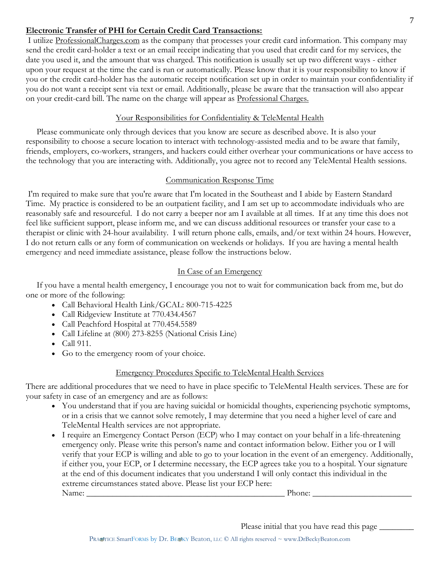## **Electronic Transfer of PHI for Certain Credit Card Transactions:**

I utilize ProfessionalCharges.com as the company that processes your credit card information. This company may send the credit card-holder a text or an email receipt indicating that you used that credit card for my services, the date you used it, and the amount that was charged. This notification is usually set up two different ways - either upon your request at the time the card is run or automatically. Please know that it is your responsibility to know if you or the credit card-holder has the automatic receipt notification set up in order to maintain your confidentiality if you do not want a receipt sent via text or email. Additionally, please be aware that the transaction will also appear on your credit-card bill. The name on the charge will appear as Professional Charges.

### Your Responsibilities for Confidentiality & TeleMental Health

 Please communicate only through devices that you know are secure as described above. It is also your responsibility to choose a secure location to interact with technology-assisted media and to be aware that family, friends, employers, co-workers, strangers, and hackers could either overhear your communications or have access to the technology that you are interacting with. Additionally, you agree not to record any TeleMental Health sessions.

### Communication Response Time

I'm required to make sure that you're aware that I'm located in the Southeast and I abide by Eastern Standard Time. My practice is considered to be an outpatient facility, and I am set up to accommodate individuals who are reasonably safe and resourceful. I do not carry a beeper nor am I available at all times. If at any time this does not feel like sufficient support, please inform me, and we can discuss additional resources or transfer your case to a therapist or clinic with 24-hour availability. I will return phone calls, emails, and/or text within 24 hours. However, I do not return calls or any form of communication on weekends or holidays. If you are having a mental health emergency and need immediate assistance, please follow the instructions below.

### In Case of an Emergency

 If you have a mental health emergency, I encourage you not to wait for communication back from me, but do one or more of the following:

- Call Behavioral Health Link/GCAL: 800-715-4225
- Call Ridgeview Institute at 770.434.4567
- Call Peachford Hospital at 770.454.5589
- Call Lifeline at (800) 273-8255 (National Crisis Line)
- Call 911.
- Go to the emergency room of your choice.

## Emergency Procedures Specific to TeleMental Health Services

There are additional procedures that we need to have in place specific to TeleMental Health services. These are for your safety in case of an emergency and are as follows:

- You understand that if you are having suicidal or homicidal thoughts, experiencing psychotic symptoms, or in a crisis that we cannot solve remotely, I may determine that you need a higher level of care and TeleMental Health services are not appropriate.
- I require an Emergency Contact Person (ECP) who I may contact on your behalf in a life-threatening emergency only. Please write this person's name and contact information below. Either you or I will verify that your ECP is willing and able to go to your location in the event of an emergency. Additionally, if either you, your ECP, or I determine necessary, the ECP agrees take you to a hospital. Your signature at the end of this document indicates that you understand I will only contact this individual in the extreme circumstances stated above. Please list your ECP here: Name: \_\_\_\_\_\_\_\_\_\_\_\_\_\_\_\_\_\_\_\_\_\_\_\_\_\_\_\_\_\_\_\_\_\_\_\_\_\_\_\_\_\_\_\_\_\_ Phone: \_\_\_\_\_\_\_\_\_\_\_\_\_\_\_\_\_\_\_\_\_\_\_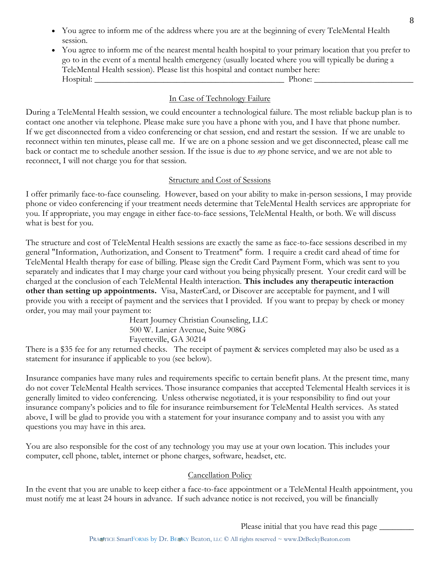- You agree to inform me of the address where you are at the beginning of every TeleMental Health session.
- You agree to inform me of the nearest mental health hospital to your primary location that you prefer to go to in the event of a mental health emergency (usually located where you will typically be during a TeleMental Health session). Please list this hospital and contact number here: Hospital: The example of the example of the example of the example of the example of the example of the example of the example of the example of the example of the example of the example of the example of the example of th

## In Case of Technology Failure

During a TeleMental Health session, we could encounter a technological failure. The most reliable backup plan is to contact one another via telephone. Please make sure you have a phone with you, and I have that phone number. If we get disconnected from a video conferencing or chat session, end and restart the session. If we are unable to reconnect within ten minutes, please call me. If we are on a phone session and we get disconnected, please call me back or contact me to schedule another session. If the issue is due to *my* phone service, and we are not able to reconnect, I will not charge you for that session.

## Structure and Cost of Sessions

I offer primarily face-to-face counseling. However, based on your ability to make in-person sessions, I may provide phone or video conferencing if your treatment needs determine that TeleMental Health services are appropriate for you. If appropriate, you may engage in either face-to-face sessions, TeleMental Health, or both. We will discuss what is best for you.

The structure and cost of TeleMental Health sessions are exactly the same as face-to-face sessions described in my general "Information, Authorization, and Consent to Treatment" form. I require a credit card ahead of time for TeleMental Health therapy for ease of billing. Please sign the Credit Card Payment Form, which was sent to you separately and indicates that I may charge your card without you being physically present. Your credit card will be charged at the conclusion of each TeleMental Health interaction. **This includes any therapeutic interaction other than setting up appointments.** Visa, MasterCard, or Discover are acceptable for payment, and I will provide you with a receipt of payment and the services that I provided. If you want to prepay by check or money order, you may mail your payment to:

> Heart Journey Christian Counseling, LLC 500 W. Lanier Avenue, Suite 908G Fayetteville, GA 30214

There is a \$35 fee for any returned checks. The receipt of payment & services completed may also be used as a statement for insurance if applicable to you (see below).

Insurance companies have many rules and requirements specific to certain benefit plans. At the present time, many do not cover TeleMental Health services. Those insurance companies that accepted Telemental Health services it is generally limited to video conferencing. Unless otherwise negotiated, it is your responsibility to find out your insurance company's policies and to file for insurance reimbursement for TeleMental Health services. As stated above, I will be glad to provide you with a statement for your insurance company and to assist you with any questions you may have in this area.

You are also responsible for the cost of any technology you may use at your own location. This includes your computer, cell phone, tablet, internet or phone charges, software, headset, etc.

## Cancellation Policy

In the event that you are unable to keep either a face-to-face appointment or a TeleMental Health appointment, you must notify me at least 24 hours in advance. If such advance notice is not received, you will be financially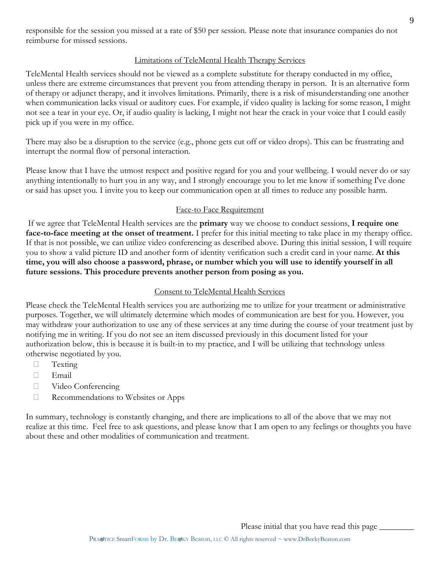Please initial that you have read this page

responsible for the session you missed at a rate of \$50 per session. Please note that insurance companies do not reimburse for missed sessions.

#### Limitations of TeleMental Health Therapy Services

TeleMental Health services should not be viewed as a complete substitute for therapy conducted in my office, unless there are extreme circumstances that prevent you from attending therapy in person. It is an alternative form of therapy or adjunct therapy, and it involves limitations. Primarily, there is a risk of misunderstanding one another when communication lacks visual or auditory cues. For example, if video quality is lacking for some reason, I might not see a tear in your eye. Or, if audio quality is lacking, I might not hear the crack in your voice that I could easily pick up if you were in my office.

There may also be a disruption to the service (e.g., phone gets cut off or video drops). This can be frustrating and interrupt the normal flow of personal interaction.

Please know that I have the utmost respect and positive regard for you and your wellbeing. I would never do or say anything intentionally to hurt you in any way, and I strongly encourage you to let me know if something I've done or said has upset you. I invite you to keep our communication open at all times to reduce any possible harm.

### Face-to Face Requirement

If we agree that TeleMental Health services are the **primary** way we choose to conduct sessions, **I require one face-to-face meeting at the onset of treatment.** I prefer for this initial meeting to take place in my therapy office. If that is not possible, we can utilize video conferencing as described above. During this initial session, I will require you to show a valid picture ID and another form of identity verification such a credit card in your name. **At this time, you will also choose a password, phrase, or number which you will use to identify yourself in all future sessions. This procedure prevents another person from posing as you.**

### Consent to TeleMental Health Services

Please check the TeleMental Health services you are authorizing me to utilize for your treatment or administrative purposes. Together, we will ultimately determine which modes of communication are best for you. However, you may withdraw your authorization to use any of these services at any time during the course of your treatment just by notifying me in writing. If you do not see an item discussed previously in this document listed for your authorization below, this is because it is built-in to my practice, and I will be utilizing that technology unless otherwise negotiated by you.

- **Texting**
- Email
- Video Conferencing
- $\Box$  Recommendations to Websites or Apps

In summary, technology is constantly changing, and there are implications to all of the above that we may not realize at this time. Feel free to ask questions, and please know that I am open to any feelings or thoughts you have about these and other modalities of communication and treatment.